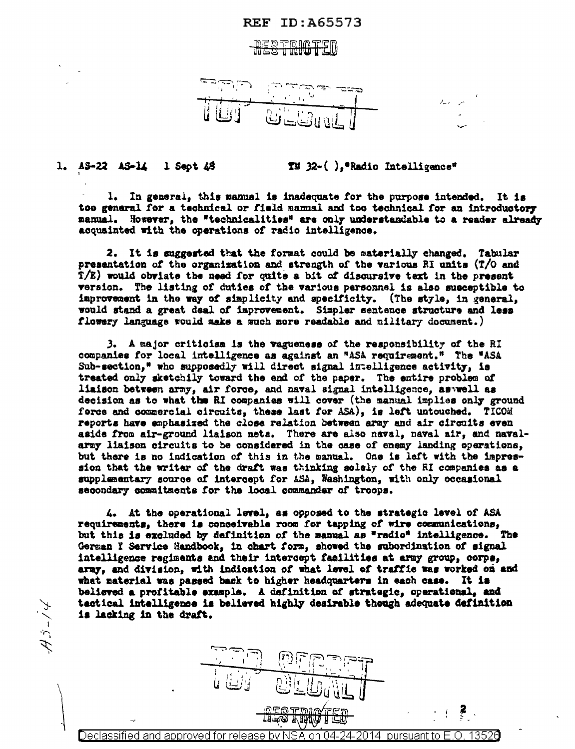## **REF ID:A65573**

## RESTRICTED



 $1$  Sept  $48$  $T \mathbb{I}$  32-(), "Radio Intelligence" 1.  $A5-22$   $A5-14$ 

1. In general, this manual is inadequate for the purpose intended. It is too general for a technical or field mammal and too technical for an introductory manual. However, the "technicalities" are only understandable to a reader already acquainted with the operations of radio intelligence.

2. It is suggested that the format could be materially changed. Tabular presentation of the organization and strength of the various RI units (T/O and T/E) would obviate the need for quite a bit of discursive text in the present version. The listing of duties of the various personnel is also susceptible to improvement in the way of simplicity and specificity. (The style, in general, would stand a great deal of improvement. Simpler sentence structure and less flowery language would make a much more readable and military document.)

3. A major criticism is the vagueness of the responsibility of the RI companies for local intelligence as against an "ASA requirement." The "ASA Sub-section," who supposedly will direct signal intelligence activity, is treated only sketchily toward the end of the paper. The entire problem of liaison between army, air force, and naval signal intelligence, as well as decision as to what the RI companies will cover (the manual implies only ground force and commercial circuits, these last for ASA), is left untouched. TICOM reports have emphasized the close relation between army and air circuits even aside from air-ground liaison nets. There are also naval, naval air, and navalarmy liaison circuits to be considered in the case of enemy landing operations, but there is no indication of this in the manual. One is left with the impression that the writer of the draft was thinking solely of the RI companies as a supplementary source of intercept for ASA, Washington, with only occasional secondary commitments for the local commander of troops.

4. At the operational level, as opposed to the strategic level of ASA requirements, there is conceivable room for tapping of wire communications, but this is excluded by definition of the manual as "radio" intelligence. The German I Service Handbook, in chart form, showed the subordination of signal intelligence regiments and their intercept facilities at army group, corps, army, and division, with indication of what level of traffic was worked on and what naterial was passed back to higher headquarters in each case. It is believed a profitable example. A definition of strategic, operational, and tactical intelligence is believed highly desirable though adequate definition is lacking in the draft.



 $A\tilde{J}$ -/4

Declassified and approved for release by NSA on 04-24-2014 pursuant to E.O. 13520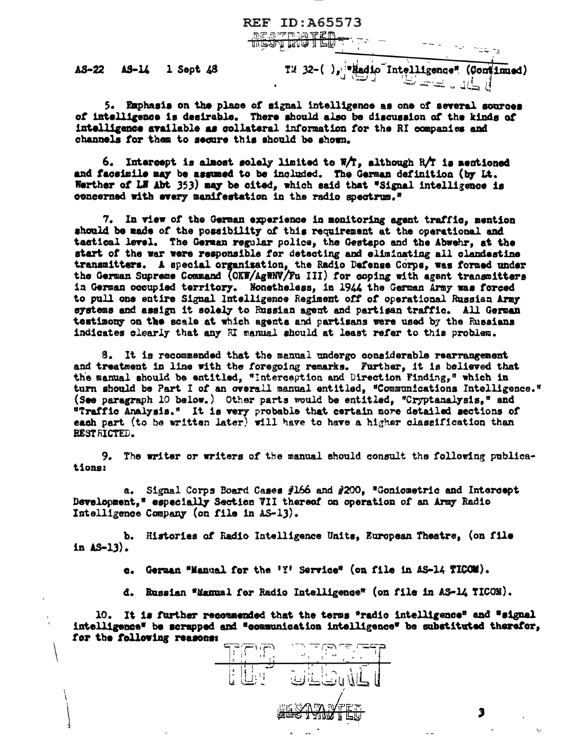AS-22 AS-14 1 Sept 48

Tu 32-(), region Intelligence" (Continued)

iki ndang

5. Emphasis on the place of signal intelligence as one of several sources of intelligence is desirable. There should also be discussion of the kinds of intelligence available as collateral information for the RI companies and channels for them to secure this should be shown.

**REF ID: A65573** 

**DESTRIATED - T-**

6. Intercept is almost solely limited to  $W/T$ , although R/T is mentioned and facsimile may be assumed to be included. The German definition (by Lt. Werther of LH Abt 353) may be cited, which said that "Signal intelligence is concerned with every manifestation in the radio spectrum."

7. In view of the German experience in monitoring agent traffic, mention should be made of the possibility of this requirement at the operational and tactical level. The German regular police, the Gestapo and the Abwehr, at the start of the war were responsible for detecting and eliminating all clandestine transmitters. A special organisation, the Radio Defense Corps, was formed under the German Supreme Command (OKW/AgWNV/Fu III) for coping with agent transmitters in German occupied territory. Nonetheless, in 1944 the German Army was forced to pull one entire Signal Intelligence Regiment off of operational Russian Army systems and assign it solely to Russian agent and partisan traffic. All German testimony on the scale at which agents and partisans were used by the Russians indicates clearly that any H manual should at least refer to this problem.

8. It is recommended that the manual undergo considerable rearrangement and treatment in line with the foregoing remarks. Further, it is believed that the manual should be entitled, "Interception and Direction Finding," which in turn should be Part I of an overall manual entitled, "Communications Intelligence." (See paragraph 10 below.) Other parts would be entitled, "Cryptanalysis," and "Traffic Analysis." It is very probable that certain more detailed sections of each part (to be written later) will have to have a higher classification than RESTRICTED.

9. The writer or writers of the manual should consult the following publications:

a. Signal Corps Board Cases #166 and #200, "Goniometric and Intercept Development," especially Section VII thereof on operation of an Army Radio Intelligence Company (on file in AS-13).

b. Histories of Radio Intelligence Units, European Theatre, (on file in  $\Delta S - 13$ .

e. German "Manual for the 'Y' Service" (on file in AS-14 TICOM).

d. Russian "Manual for Radio Intelligence" (on file in AS-14 TICOM).

10. It is further recommended that the terms "radio intelligence" and "signal intelligence" be scrapped and "communication intelligence" be substituted therefor, for the following reasons:

 $\mathbb{F}(\mathbb{F})$ <del>طفات</del> نقدات المالي الم  $\sim 0.4$  . المحافي المراقب لما له نسأسة لسن <del>STANI</del>

3